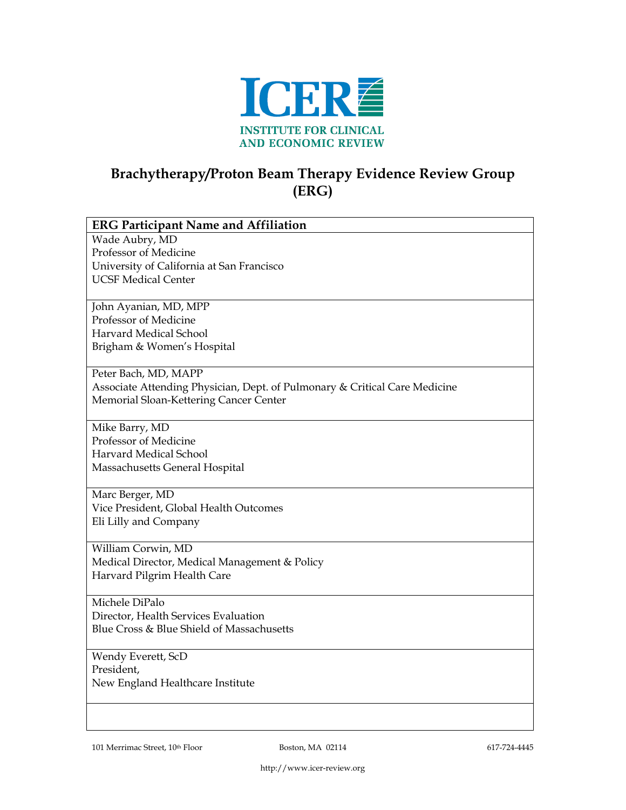

## **Brachytherapy/Proton Beam Therapy Evidence Review Group (ERG)**

| <b>ERG Participant Name and Affiliation</b>                                |
|----------------------------------------------------------------------------|
| Wade Aubry, MD                                                             |
| Professor of Medicine                                                      |
| University of California at San Francisco                                  |
| <b>UCSF Medical Center</b>                                                 |
|                                                                            |
| John Ayanian, MD, MPP                                                      |
| Professor of Medicine                                                      |
| Harvard Medical School                                                     |
| Brigham & Women's Hospital                                                 |
|                                                                            |
| Peter Bach, MD, MAPP                                                       |
| Associate Attending Physician, Dept. of Pulmonary & Critical Care Medicine |
| Memorial Sloan-Kettering Cancer Center                                     |
|                                                                            |
| Mike Barry, MD                                                             |
| Professor of Medicine                                                      |
| <b>Harvard Medical School</b>                                              |
| Massachusetts General Hospital                                             |
|                                                                            |
| Marc Berger, MD                                                            |
| Vice President, Global Health Outcomes                                     |
| Eli Lilly and Company                                                      |
|                                                                            |
| William Corwin, MD                                                         |
| Medical Director, Medical Management & Policy                              |
| Harvard Pilgrim Health Care                                                |
|                                                                            |
| Michele DiPalo                                                             |
| Director, Health Services Evaluation                                       |
| Blue Cross & Blue Shield of Massachusetts                                  |
|                                                                            |
| Wendy Everett, ScD                                                         |
| President,                                                                 |
| New England Healthcare Institute                                           |
|                                                                            |
|                                                                            |
|                                                                            |

101 Merrimac Street, 10<sup>th</sup> Floor **Boston, MA 02114** 617-724-4445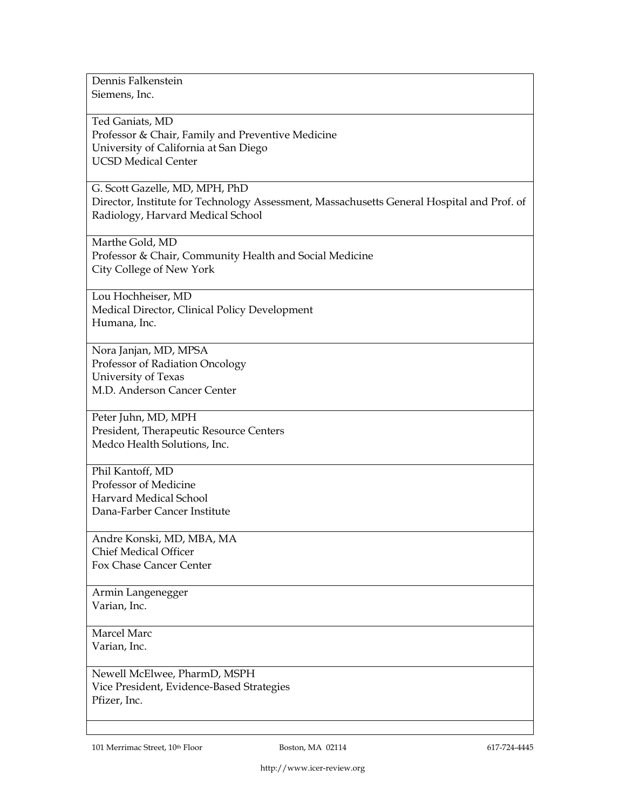Dennis Falkenstein Siemens, Inc.

Ted Ganiats, MD Professor & Chair, Family and Preventive Medicine University of California at San Diego UCSD Medical Center

G. Scott Gazelle, MD, MPH, PhD Director, Institute for Technology Assessment, Massachusetts General Hospital and Prof. of Radiology, Harvard Medical School

Marthe Gold, MD Professor & Chair, Community Health and Social Medicine City College of New York

Lou Hochheiser, MD Medical Director, Clinical Policy Development Humana, Inc.

Nora Janjan, MD, MPSA Professor of Radiation Oncology University of Texas M.D. Anderson Cancer Center

Peter Juhn, MD, MPH President, Therapeutic Resource Centers Medco Health Solutions, Inc.

Phil Kantoff, MD Professor of Medicine Harvard Medical School Dana-Farber Cancer Institute

Andre Konski, MD, MBA, MA Chief Medical Officer Fox Chase Cancer Center

Armin Langenegger Varian, Inc.

Marcel Marc Varian, Inc.

Newell McElwee, PharmD, MSPH Vice President, Evidence-Based Strategies Pfizer, Inc.

101 Merrimac Street, 10<sup>th</sup> Floor **Boston, MA 02114** 617-724-4445